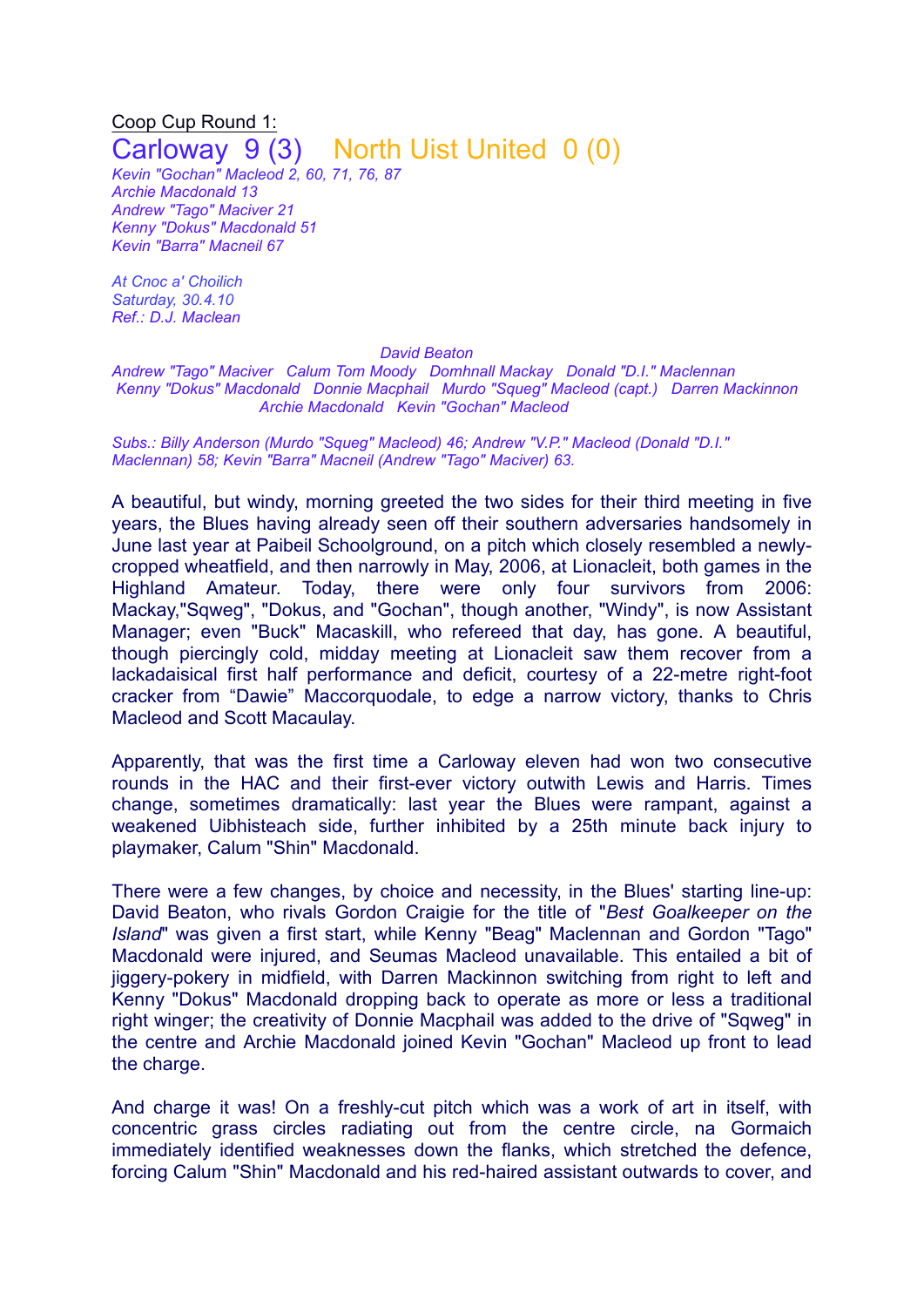## Coop Cup Round 1: Carloway 9 (3) North Uist United 0 (0)

*Kevin "Gochan" Macleod 2, 60, 71, 76, 87 Archie Macdonald 13 Andrew "Tago" Maciver 21 Kenny "Dokus" Macdonald 51 Kevin "Barra" Macneil 67*

*At Cnoc a' Choilich Saturday, 30.4.10 Ref.: D.J. Maclean*

## *David Beaton*

*Andrew "Tago" Maciver Calum Tom Moody Domhnall Mackay Donald "D.I." Maclennan Kenny "Dokus" Macdonald Donnie Macphail Murdo "Squeg" Macleod (capt.) Darren Mackinnon Archie Macdonald Kevin "Gochan" Macleod*

*Subs.: Billy Anderson (Murdo "Squeg" Macleod) 46; Andrew "V.P." Macleod (Donald "D.I." Maclennan) 58; Kevin "Barra" Macneil (Andrew "Tago" Maciver) 63.*

A beautiful, but windy, morning greeted the two sides for their third meeting in five years, the Blues having already seen off their southern adversaries handsomely in June last year at Paibeil Schoolground, on a pitch which closely resembled a newlycropped wheatfield, and then narrowly in May, 2006, at Lionacleit, both games in the Highland Amateur. Today, there were only four survivors from 2006: Mackay,"Sqweg", "Dokus, and "Gochan", though another, "Windy", is now Assistant Manager; even "Buck" Macaskill, who refereed that day, has gone. A beautiful, though piercingly cold, midday meeting at Lionacleit saw them recover from a lackadaisical first half performance and deficit, courtesy of a 22-metre right-foot cracker from "Dawie" Maccorquodale, to edge a narrow victory, thanks to Chris Macleod and Scott Macaulay.

Apparently, that was the first time a Carloway eleven had won two consecutive rounds in the HAC and their first-ever victory outwith Lewis and Harris. Times change, sometimes dramatically: last year the Blues were rampant, against a weakened Uibhisteach side, further inhibited by a 25th minute back injury to playmaker, Calum "Shin" Macdonald.

There were a few changes, by choice and necessity, in the Blues' starting line-up: David Beaton, who rivals Gordon Craigie for the title of "*Best Goalkeeper on the Island*" was given a first start, while Kenny "Beag" Maclennan and Gordon "Tago" Macdonald were injured, and Seumas Macleod unavailable. This entailed a bit of jiggery-pokery in midfield, with Darren Mackinnon switching from right to left and Kenny "Dokus" Macdonald dropping back to operate as more or less a traditional right winger; the creativity of Donnie Macphail was added to the drive of "Sqweg" in the centre and Archie Macdonald joined Kevin "Gochan" Macleod up front to lead the charge.

And charge it was! On a freshly-cut pitch which was a work of art in itself, with concentric grass circles radiating out from the centre circle, na Gormaich immediately identified weaknesses down the flanks, which stretched the defence, forcing Calum "Shin" Macdonald and his red-haired assistant outwards to cover, and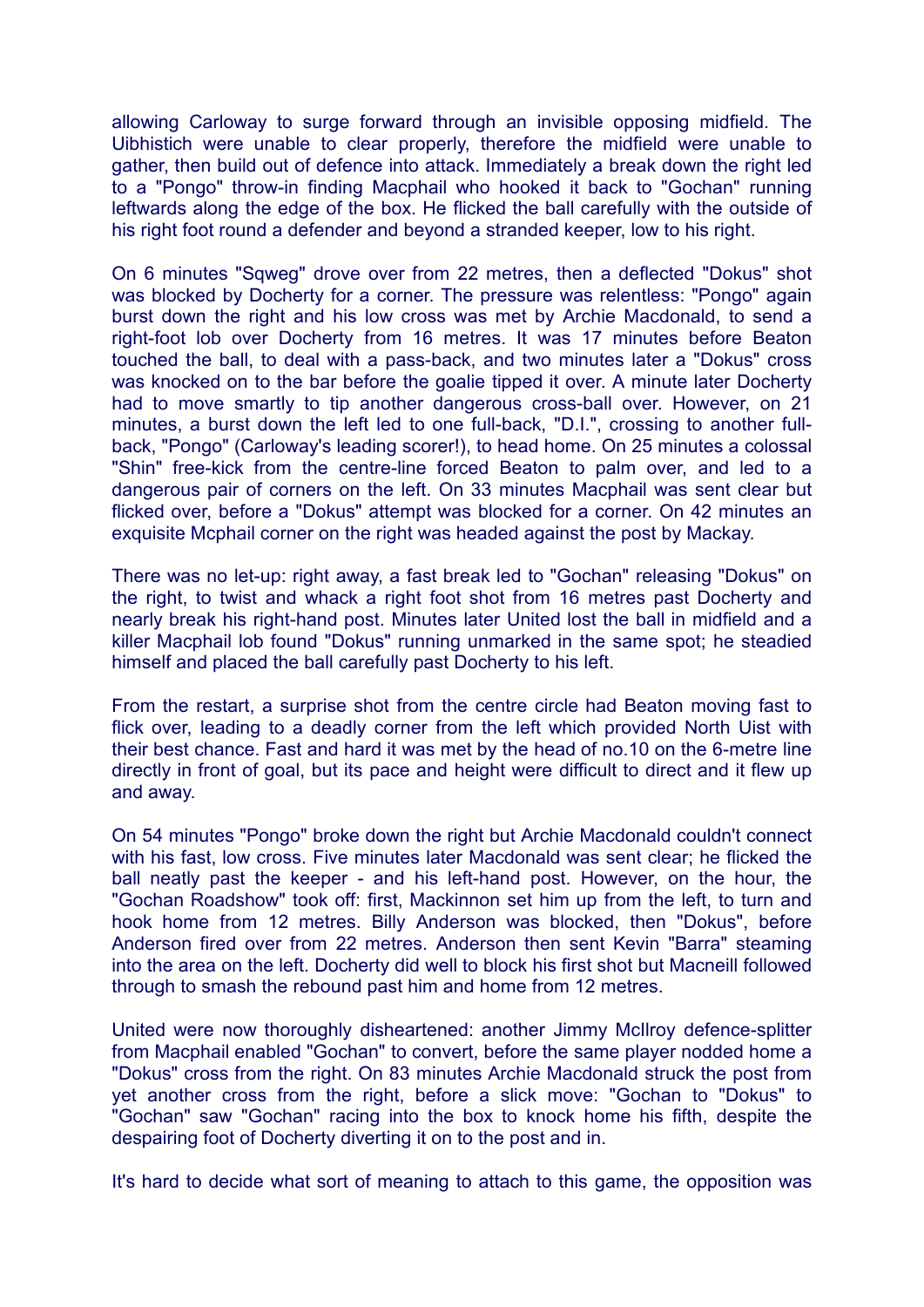allowing Carloway to surge forward through an invisible opposing midfield. The Uibhistich were unable to clear properly, therefore the midfield were unable to gather, then build out of defence into attack. Immediately a break down the right led to a "Pongo" throw-in finding Macphail who hooked it back to "Gochan" running leftwards along the edge of the box. He flicked the ball carefully with the outside of his right foot round a defender and beyond a stranded keeper, low to his right.

On 6 minutes "Sqweg" drove over from 22 metres, then a deflected "Dokus" shot was blocked by Docherty for a corner. The pressure was relentless: "Pongo" again burst down the right and his low cross was met by Archie Macdonald, to send a right-foot lob over Docherty from 16 metres. It was 17 minutes before Beaton touched the ball, to deal with a pass-back, and two minutes later a "Dokus" cross was knocked on to the bar before the goalie tipped it over. A minute later Docherty had to move smartly to tip another dangerous cross-ball over. However, on 21 minutes, a burst down the left led to one full-back, "D.I.", crossing to another fullback, "Pongo" (Carloway's leading scorer!), to head home. On 25 minutes a colossal "Shin" free-kick from the centre-line forced Beaton to palm over, and led to a dangerous pair of corners on the left. On 33 minutes Macphail was sent clear but flicked over, before a "Dokus" attempt was blocked for a corner. On 42 minutes an exquisite Mcphail corner on the right was headed against the post by Mackay.

There was no let-up: right away, a fast break led to "Gochan" releasing "Dokus" on the right, to twist and whack a right foot shot from 16 metres past Docherty and nearly break his right-hand post. Minutes later United lost the ball in midfield and a killer Macphail lob found "Dokus" running unmarked in the same spot; he steadied himself and placed the ball carefully past Docherty to his left.

From the restart, a surprise shot from the centre circle had Beaton moving fast to flick over, leading to a deadly corner from the left which provided North Uist with their best chance. Fast and hard it was met by the head of no.10 on the 6-metre line directly in front of goal, but its pace and height were difficult to direct and it flew up and away.

On 54 minutes "Pongo" broke down the right but Archie Macdonald couldn't connect with his fast, low cross. Five minutes later Macdonald was sent clear; he flicked the ball neatly past the keeper - and his left-hand post. However, on the hour, the "Gochan Roadshow" took off: first, Mackinnon set him up from the left, to turn and hook home from 12 metres. Billy Anderson was blocked, then "Dokus", before Anderson fired over from 22 metres. Anderson then sent Kevin "Barra" steaming into the area on the left. Docherty did well to block his first shot but Macneill followed through to smash the rebound past him and home from 12 metres.

United were now thoroughly disheartened: another Jimmy McIlroy defence-splitter from Macphail enabled "Gochan" to convert, before the same player nodded home a "Dokus" cross from the right. On 83 minutes Archie Macdonald struck the post from yet another cross from the right, before a slick move: "Gochan to "Dokus" to "Gochan" saw "Gochan" racing into the box to knock home his fifth, despite the despairing foot of Docherty diverting it on to the post and in.

It's hard to decide what sort of meaning to attach to this game, the opposition was